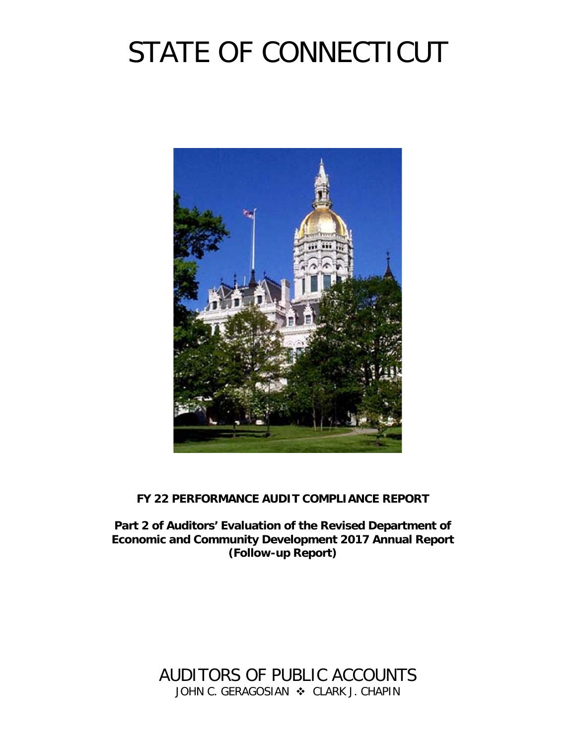# STATE OF CONNECTICUT



## **FY 22 PERFORMANCE AUDIT COMPLIANCE REPORT**

**Part 2 of Auditors' Evaluation of the Revised Department of Economic and Community Development 2017 Annual Report (Follow-up Report)**

> AUDITORS OF PUBLIC ACCOUNTS JOHN C. GERAGOSIAN  $\cdot$  CLARK J. CHAPIN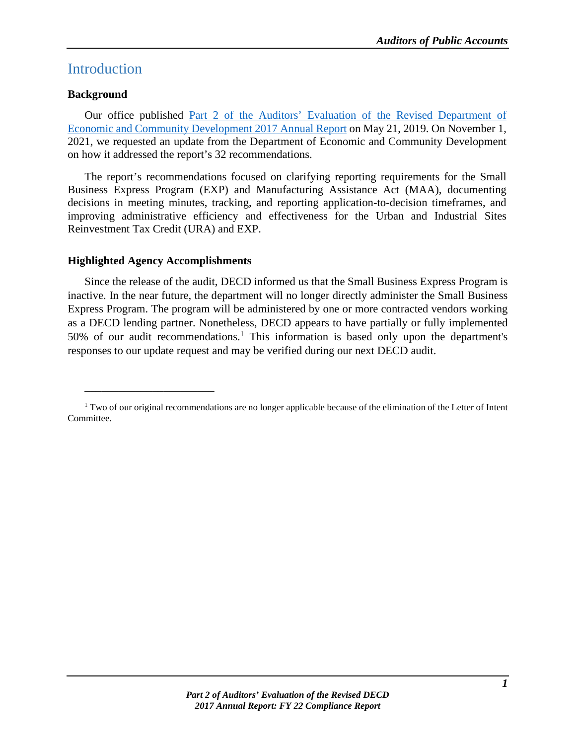## **Introduction**

## **Background**

Our office published Part 2 of the [Auditors' Evaluation of the Revised Department of](https://wp.cga.ct.gov/apa/wp-content/cgacustom/reports/performance/PERFORMANCE_Part%202%20of%20Auditors%20Evaluation%20of%20the%20Revised%20Department%20of%20Economic%20and%20Community%20Development%202017%20Annual%20Report_20190521.pdf)  [Economic and Community Development 2017 Annual Report](https://wp.cga.ct.gov/apa/wp-content/cgacustom/reports/performance/PERFORMANCE_Part%202%20of%20Auditors%20Evaluation%20of%20the%20Revised%20Department%20of%20Economic%20and%20Community%20Development%202017%20Annual%20Report_20190521.pdf) on May 21, 2019. On November 1, 2021, we requested an update from the Department of Economic and Community Development on how it addressed the report's 32 recommendations.

The report's recommendations focused on clarifying reporting requirements for the Small Business Express Program (EXP) and Manufacturing Assistance Act (MAA), documenting decisions in meeting minutes, tracking, and reporting application-to-decision timeframes, and improving administrative efficiency and effectiveness for the Urban and Industrial Sites Reinvestment Tax Credit (URA) and EXP.

## **Highlighted Agency Accomplishments**

\_\_\_\_\_\_\_\_\_\_\_\_\_\_\_\_\_\_\_\_\_\_\_

Since the release of the audit, DECD informed us that the Small Business Express Program is inactive. In the near future, the department will no longer directly administer the Small Business Express Program. The program will be administered by one or more contracted vendors working as a DECD lending partner. Nonetheless, DECD appears to have partially or fully implemented 50% of our audit recommendations. <sup>1</sup> This information is based only upon the department's responses to our update request and may be verified during our next DECD audit.

<sup>&</sup>lt;sup>1</sup> Two of our original recommendations are no longer applicable because of the elimination of the Letter of Intent Committee.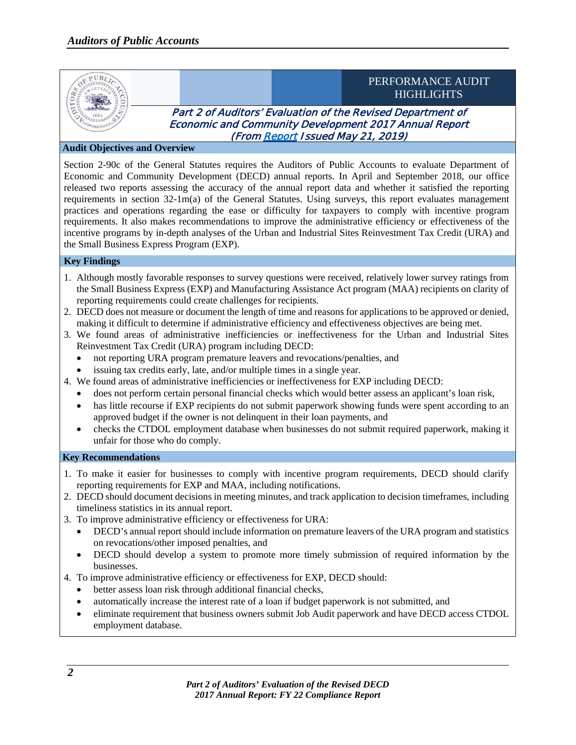

#### **Audit Objectives and Overview**

Section 2-90c of the General Statutes requires the Auditors of Public Accounts to evaluate Department of Economic and Community Development (DECD) annual reports. In April and September 2018, our office released two reports assessing the accuracy of the annual report data and whether it satisfied the reporting requirements in section 32-1m(a) of the General Statutes. Using surveys, this report evaluates management practices and operations regarding the ease or difficulty for taxpayers to comply with incentive program requirements. It also makes recommendations to improve the administrative efficiency or effectiveness of the incentive programs by in-depth analyses of the Urban and Industrial Sites Reinvestment Tax Credit (URA) and the Small Business Express Program (EXP).

#### **Key Findings**

- 1. Although mostly favorable responses to survey questions were received, relatively lower survey ratings from the Small Business Express (EXP) and Manufacturing Assistance Act program (MAA) recipients on clarity of reporting requirements could create challenges for recipients.
- 2. DECD does not measure or document the length of time and reasons for applications to be approved or denied, making it difficult to determine if administrative efficiency and effectiveness objectives are being met.
- 3. We found areas of administrative inefficiencies or ineffectiveness for the Urban and Industrial Sites Reinvestment Tax Credit (URA) program including DECD:
	- not reporting URA program premature leavers and revocations/penalties, and
	- issuing tax credits early, late, and/or multiple times in a single year.
- 4. We found areas of administrative inefficiencies or ineffectiveness for EXP including DECD:
	- does not perform certain personal financial checks which would better assess an applicant's loan risk,
	- has little recourse if EXP recipients do not submit paperwork showing funds were spent according to an approved budget if the owner is not delinquent in their loan payments, and
	- checks the CTDOL employment database when businesses do not submit required paperwork, making it unfair for those who do comply.

#### **Key Recommendations**

- 1. To make it easier for businesses to comply with incentive program requirements, DECD should clarify reporting requirements for EXP and MAA, including notifications.
- 2. DECD should document decisions in meeting minutes, and track application to decision timeframes, including timeliness statistics in its annual report.
- 3. To improve administrative efficiency or effectiveness for URA:
	- DECD's annual report should include information on premature leavers of the URA program and statistics on revocations/other imposed penalties, and
	- DECD should develop a system to promote more timely submission of required information by the businesses.
- 4. To improve administrative efficiency or effectiveness for EXP, DECD should:
	- better assess loan risk through additional financial checks,
	- automatically increase the interest rate of a loan if budget paperwork is not submitted, and
	- eliminate requirement that business owners submit Job Audit paperwork and have DECD access CTDOL employment database.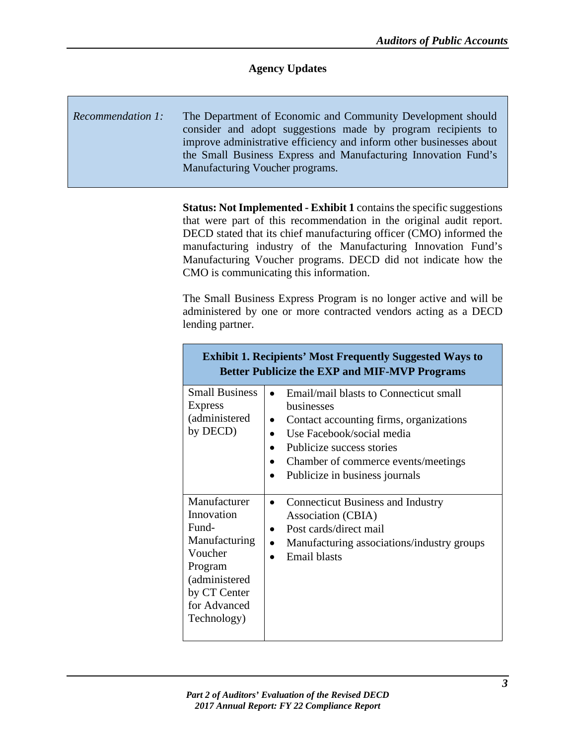## **Agency Updates**

## *Recommendation 1:* The Department of Economic and Community Development should consider and adopt suggestions made by program recipients to improve administrative efficiency and inform other businesses about the Small Business Express and Manufacturing Innovation Fund's Manufacturing Voucher programs.

**Status: Not Implemented - Exhibit 1** contains the specific suggestions that were part of this recommendation in the original audit report. DECD stated that its chief manufacturing officer (CMO) informed the manufacturing industry of the Manufacturing Innovation Fund's Manufacturing Voucher programs. DECD did not indicate how the CMO is communicating this information.

The Small Business Express Program is no longer active and will be administered by one or more contracted vendors acting as a DECD lending partner.

| <b>Exhibit 1. Recipients' Most Frequently Suggested Ways to</b><br><b>Better Publicize the EXP and MIF-MVP Programs</b>                    |                                                                                                                                                                                                                                           |  |
|--------------------------------------------------------------------------------------------------------------------------------------------|-------------------------------------------------------------------------------------------------------------------------------------------------------------------------------------------------------------------------------------------|--|
| <b>Small Business</b><br><b>Express</b><br>(administered<br>by DECD)                                                                       | Email/mail blasts to Connecticut small<br><b>businesses</b><br>Contact accounting firms, organizations<br>Use Facebook/social media<br>Publicize success stories<br>Chamber of commerce events/meetings<br>Publicize in business journals |  |
| Manufacturer<br>Innovation<br>Fund-<br>Manufacturing<br>Voucher<br>Program<br>(administered<br>by CT Center<br>for Advanced<br>Technology) | <b>Connecticut Business and Industry</b><br>Association (CBIA)<br>Post cards/direct mail<br>Manufacturing associations/industry groups<br><b>Email blasts</b>                                                                             |  |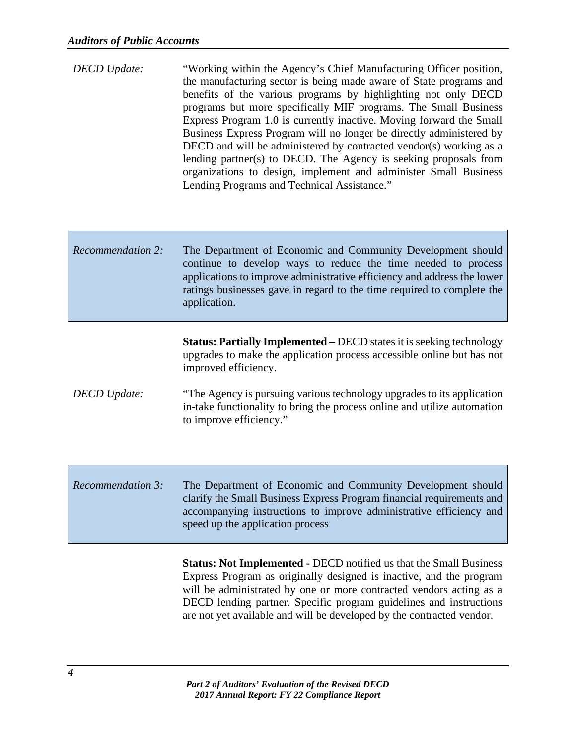| <b>DECD</b> Update: | "Working within the Agency's Chief Manufacturing Officer position,  |
|---------------------|---------------------------------------------------------------------|
|                     | the manufacturing sector is being made aware of State programs and  |
|                     | benefits of the various programs by highlighting not only DECD      |
|                     | programs but more specifically MIF programs. The Small Business     |
|                     | Express Program 1.0 is currently inactive. Moving forward the Small |
|                     | Business Express Program will no longer be directly administered by |
|                     | DECD and will be administered by contracted vendor(s) working as a  |
|                     | lending partner(s) to DECD. The Agency is seeking proposals from    |
|                     | organizations to design, implement and administer Small Business    |
|                     | Lending Programs and Technical Assistance."                         |

## *Recommendation 2:* The Department of Economic and Community Development should continue to develop ways to reduce the time needed to process applications to improve administrative efficiency and address the lower ratings businesses gave in regard to the time required to complete the application.

**Status: Partially Implemented –** DECD states it is seeking technology upgrades to make the application process accessible online but has not improved efficiency.

- *DECD Update:* "The Agency is pursuing various technology upgrades to its application in-take functionality to bring the process online and utilize automation to improve efficiency."
- *Recommendation 3:* The Department of Economic and Community Development should clarify the Small Business Express Program financial requirements and accompanying instructions to improve administrative efficiency and speed up the application process

**Status: Not Implemented -** DECD notified us that the Small Business Express Program as originally designed is inactive, and the program will be administrated by one or more contracted vendors acting as a DECD lending partner. Specific program guidelines and instructions are not yet available and will be developed by the contracted vendor.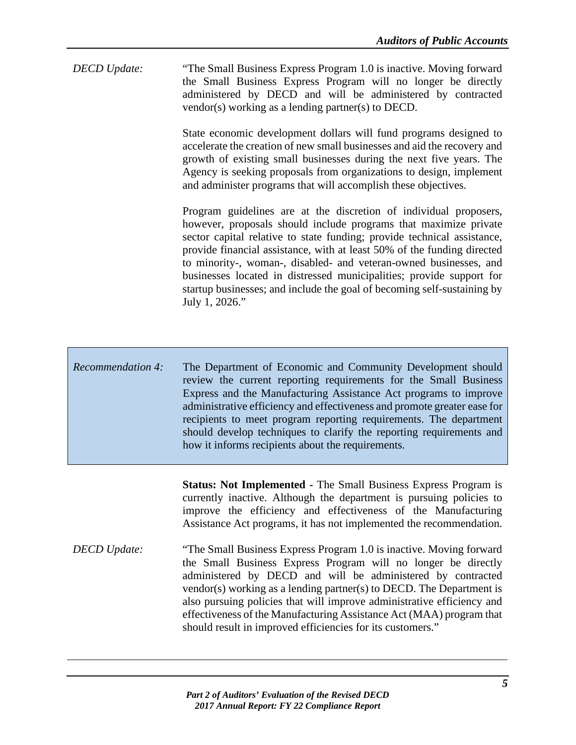*DECD Update:* "The Small Business Express Program 1.0 is inactive. Moving forward the Small Business Express Program will no longer be directly administered by DECD and will be administered by contracted vendor(s) working as a lending partner(s) to DECD.

> State economic development dollars will fund programs designed to accelerate the creation of new small businesses and aid the recovery and growth of existing small businesses during the next five years. The Agency is seeking proposals from organizations to design, implement and administer programs that will accomplish these objectives.

> Program guidelines are at the discretion of individual proposers, however, proposals should include programs that maximize private sector capital relative to state funding; provide technical assistance, provide financial assistance, with at least 50% of the funding directed to minority-, woman-, disabled- and veteran-owned businesses, and businesses located in distressed municipalities; provide support for startup businesses; and include the goal of becoming self-sustaining by July 1, 2026."

*Recommendation 4:* The Department of Economic and Community Development should review the current reporting requirements for the Small Business Express and the Manufacturing Assistance Act programs to improve administrative efficiency and effectiveness and promote greater ease for recipients to meet program reporting requirements. The department should develop techniques to clarify the reporting requirements and how it informs recipients about the requirements.

> **Status: Not Implemented -** The Small Business Express Program is currently inactive. Although the department is pursuing policies to improve the efficiency and effectiveness of the Manufacturing Assistance Act programs, it has not implemented the recommendation.

*DECD Update:* "The Small Business Express Program 1.0 is inactive. Moving forward the Small Business Express Program will no longer be directly administered by DECD and will be administered by contracted vendor(s) working as a lending partner(s) to DECD. The Department is also pursuing policies that will improve administrative efficiency and effectiveness of the Manufacturing Assistance Act (MAA) program that should result in improved efficiencies for its customers."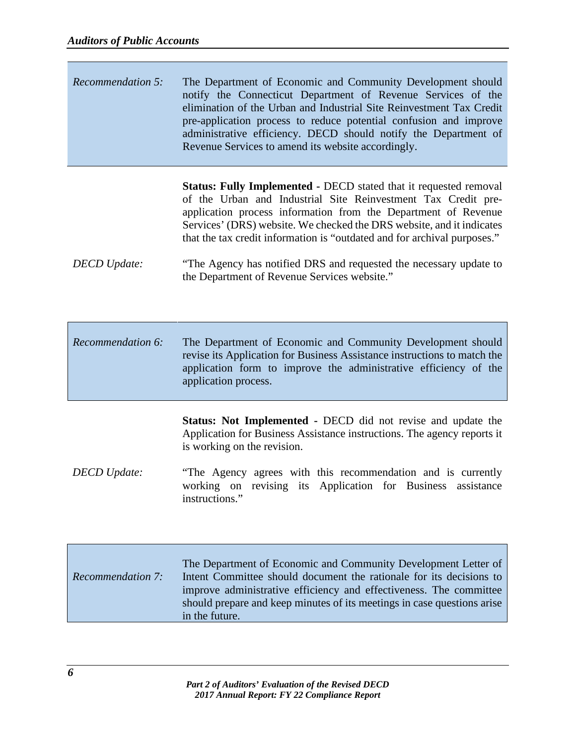| Recommendation 5: | The Department of Economic and Community Development should<br>notify the Connecticut Department of Revenue Services of the<br>elimination of the Urban and Industrial Site Reinvestment Tax Credit<br>pre-application process to reduce potential confusion and improve |
|-------------------|--------------------------------------------------------------------------------------------------------------------------------------------------------------------------------------------------------------------------------------------------------------------------|
|                   | administrative efficiency. DECD should notify the Department of                                                                                                                                                                                                          |
|                   | Revenue Services to amend its website accordingly.                                                                                                                                                                                                                       |

**Status: Fully Implemented -** DECD stated that it requested removal of the Urban and Industrial Site Reinvestment Tax Credit preapplication process information from the Department of Revenue Services' (DRS) website. We checked the DRS website, and it indicates that the tax credit information is "outdated and for archival purposes."

### *DECD Update:* "The Agency has notified DRS and requested the necessary update to the Department of Revenue Services website."

*Recommendation 6:* The Department of Economic and Community Development should revise its Application for Business Assistance instructions to match the application form to improve the administrative efficiency of the application process.

> **Status: Not Implemented -** DECD did not revise and update the Application for Business Assistance instructions. The agency reports it is working on the revision.

*DECD Update:* "The Agency agrees with this recommendation and is currently working on revising its Application for Business assistance instructions."

|                          | The Department of Economic and Community Development Letter of          |
|--------------------------|-------------------------------------------------------------------------|
| <b>Recommendation 7:</b> | Intent Committee should document the rationale for its decisions to     |
|                          | improve administrative efficiency and effectiveness. The committee      |
|                          | should prepare and keep minutes of its meetings in case questions arise |
|                          | in the future.                                                          |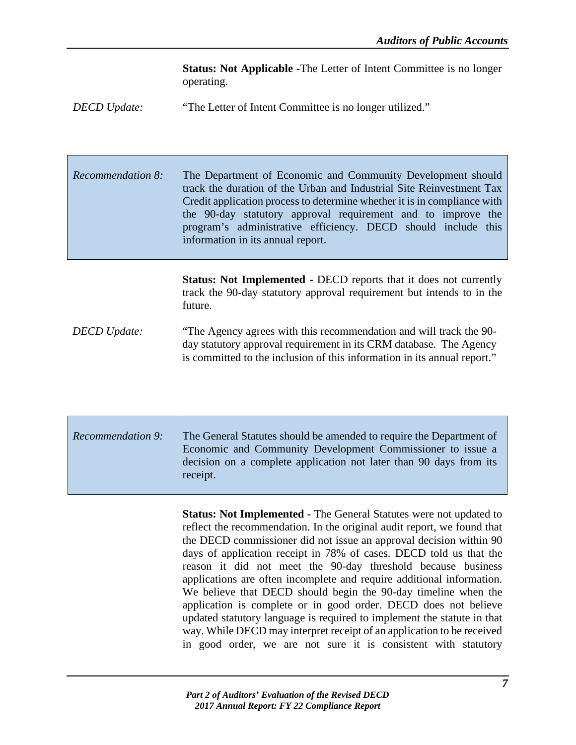**Status: Not Applicable -**The Letter of Intent Committee is no longer operating.

*DECD Update:* "The Letter of Intent Committee is no longer utilized."

*Recommendation 8:* The Department of Economic and Community Development should track the duration of the Urban and Industrial Site Reinvestment Tax Credit application process to determine whether it is in compliance with the 90-day statutory approval requirement and to improve the program's administrative efficiency. DECD should include this information in its annual report.

> **Status: Not Implemented -** DECD reports that it does not currently track the 90-day statutory approval requirement but intends to in the future.

*DECD Update:* "The Agency agrees with this recommendation and will track the 90 day statutory approval requirement in its CRM database. The Agency is committed to the inclusion of this information in its annual report."

*Recommendation 9:* The General Statutes should be amended to require the Department of Economic and Community Development Commissioner to issue a decision on a complete application not later than 90 days from its receipt.

> **Status: Not Implemented -** The General Statutes were not updated to reflect the recommendation. In the original audit report, we found that the DECD commissioner did not issue an approval decision within 90 days of application receipt in 78% of cases. DECD told us that the reason it did not meet the 90-day threshold because business applications are often incomplete and require additional information. We believe that DECD should begin the 90-day timeline when the application is complete or in good order. DECD does not believe updated statutory language is required to implement the statute in that way. While DECD may interpret receipt of an application to be received in good order, we are not sure it is consistent with statutory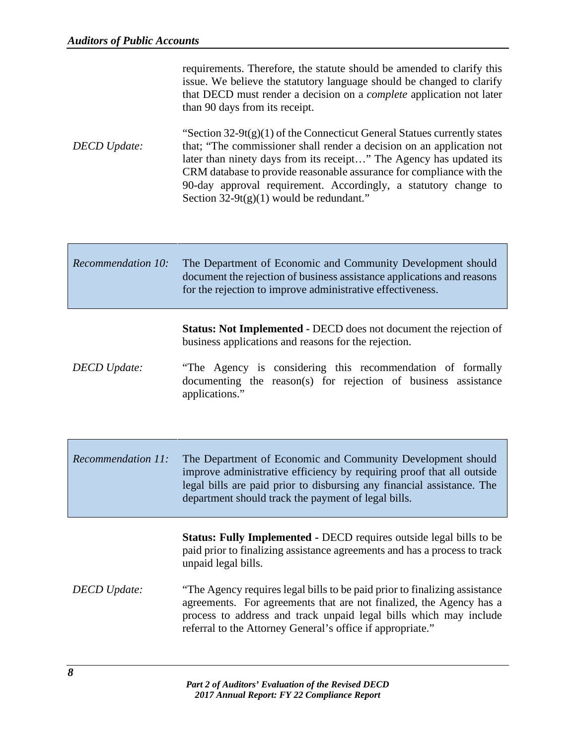|                     | requirements. Therefore, the statute should be amended to clarify this<br>issue. We believe the statutory language should be changed to clarify<br>that DECD must render a decision on a <i>complete</i> application not later<br>than 90 days from its receipt.                                                                                                                                                    |
|---------------------|---------------------------------------------------------------------------------------------------------------------------------------------------------------------------------------------------------------------------------------------------------------------------------------------------------------------------------------------------------------------------------------------------------------------|
| <b>DECD</b> Update: | "Section $32-9t(g)(1)$ of the Connecticut General Statues currently states<br>that; "The commissioner shall render a decision on an application not<br>later than ninety days from its receipt" The Agency has updated its<br>CRM database to provide reasonable assurance for compliance with the<br>90-day approval requirement. Accordingly, a statutory change to<br>Section $32-9t(g)(1)$ would be redundant." |

| <b>Recommendation 10:</b> | The Department of Economic and Community Development should<br>document the rejection of business assistance applications and reasons<br>for the rejection to improve administrative effectiveness. |
|---------------------------|-----------------------------------------------------------------------------------------------------------------------------------------------------------------------------------------------------|
|                           |                                                                                                                                                                                                     |

**Status: Not Implemented -** DECD does not document the rejection of business applications and reasons for the rejection.

- *DECD Update:* "The Agency is considering this recommendation of formally documenting the reason(s) for rejection of business assistance applications."
- *Recommendation 11:* The Department of Economic and Community Development should improve administrative efficiency by requiring proof that all outside legal bills are paid prior to disbursing any financial assistance. The department should track the payment of legal bills.

**Status: Fully Implemented -** DECD requires outside legal bills to be paid prior to finalizing assistance agreements and has a process to track unpaid legal bills.

*DECD Update:* "The Agency requires legal bills to be paid prior to finalizing assistance agreements. For agreements that are not finalized, the Agency has a process to address and track unpaid legal bills which may include referral to the Attorney General's office if appropriate."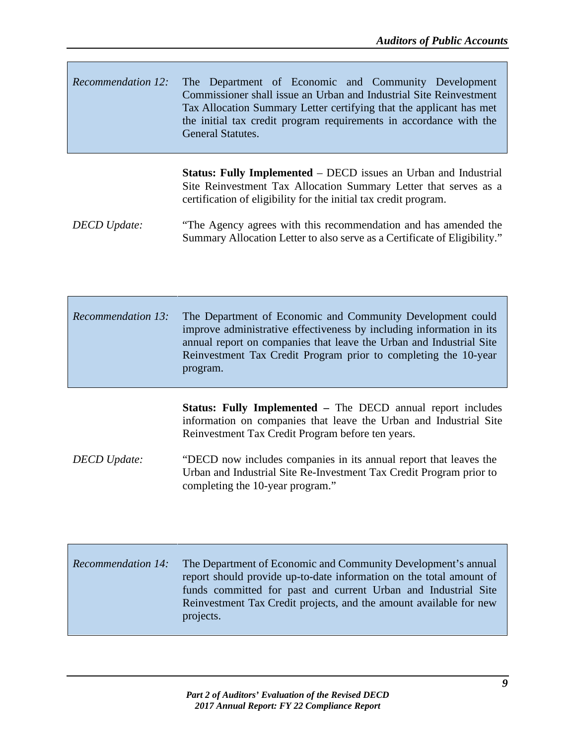*Recommendation 12:* The Department of Economic and Community Development Commissioner shall issue an Urban and Industrial Site Reinvestment Tax Allocation Summary Letter certifying that the applicant has met the initial tax credit program requirements in accordance with the General Statutes.

> **Status: Fully Implemented** – DECD issues an Urban and Industrial Site Reinvestment Tax Allocation Summary Letter that serves as a certification of eligibility for the initial tax credit program.

*DECD Update:* "The Agency agrees with this recommendation and has amended the Summary Allocation Letter to also serve as a Certificate of Eligibility."

*Recommendation 13:* The Department of Economic and Community Development could improve administrative effectiveness by including information in its annual report on companies that leave the Urban and Industrial Site Reinvestment Tax Credit Program prior to completing the 10-year program.

> **Status: Fully Implemented –** The DECD annual report includes information on companies that leave the Urban and Industrial Site Reinvestment Tax Credit Program before ten years.

*DECD Update:* "DECD now includes companies in its annual report that leaves the Urban and Industrial Site Re-Investment Tax Credit Program prior to completing the 10-year program."

*Recommendation 14:* The Department of Economic and Community Development's annual report should provide up-to-date information on the total amount of funds committed for past and current Urban and Industrial Site Reinvestment Tax Credit projects, and the amount available for new projects.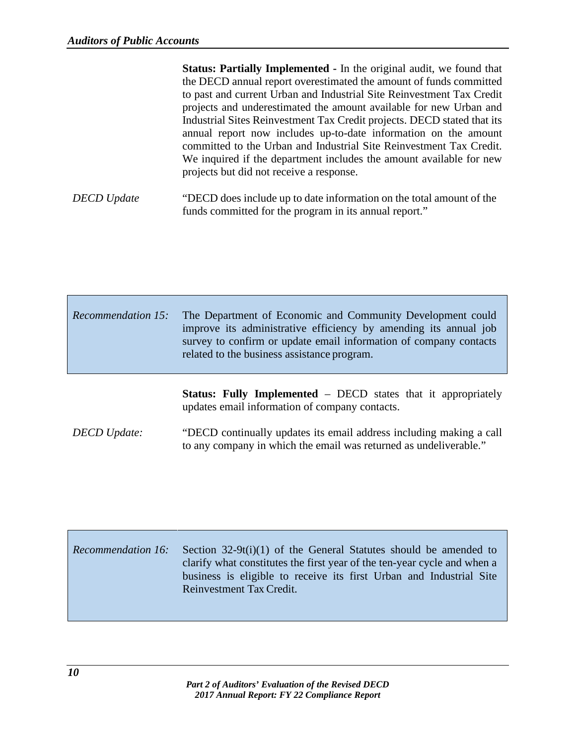|                    | <b>Status: Partially Implemented - In the original audit, we found that</b> |
|--------------------|-----------------------------------------------------------------------------|
|                    | the DECD annual report overestimated the amount of funds committed          |
|                    | to past and current Urban and Industrial Site Reinvestment Tax Credit       |
|                    | projects and underestimated the amount available for new Urban and          |
|                    | Industrial Sites Reinvestment Tax Credit projects. DECD stated that its     |
|                    | annual report now includes up-to-date information on the amount             |
|                    | committed to the Urban and Industrial Site Reinvestment Tax Credit.         |
|                    | We inquired if the department includes the amount available for new         |
|                    | projects but did not receive a response.                                    |
|                    |                                                                             |
| <b>DECD</b> Update | "DECD does include up to date information on the total amount of the        |
|                    | funds committed for the program in its annual report."                      |

| <i>Recommendation 15:</i> The Department of Economic and Community Development could<br>improve its administrative efficiency by amending its annual job<br>survey to confirm or update email information of company contacts<br>related to the business assistance program. |
|------------------------------------------------------------------------------------------------------------------------------------------------------------------------------------------------------------------------------------------------------------------------------|
|                                                                                                                                                                                                                                                                              |

**Status: Fully Implemented** – DECD states that it appropriately updates email information of company contacts.

*DECD Update:* "DECD continually updates its email address including making a call to any company in which the email was returned as undeliverable."

| <b>Recommendation 16:</b> | Section $32-9t(i)(1)$ of the General Statutes should be amended to<br>clarify what constitutes the first year of the ten-year cycle and when a<br>business is eligible to receive its first Urban and Industrial Site<br>Reinvestment Tax Credit. |
|---------------------------|---------------------------------------------------------------------------------------------------------------------------------------------------------------------------------------------------------------------------------------------------|
|                           |                                                                                                                                                                                                                                                   |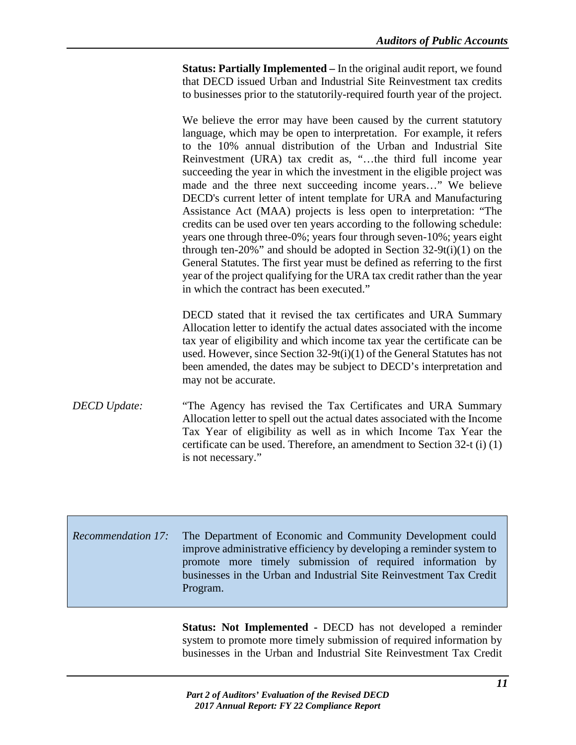**Status: Partially Implemented –** In the original audit report, we found that DECD issued Urban and Industrial Site Reinvestment tax credits to businesses prior to the statutorily-required fourth year of the project.

We believe the error may have been caused by the current statutory language, which may be open to interpretation. For example, it refers to the 10% annual distribution of the Urban and Industrial Site Reinvestment (URA) tax credit as, "…the third full income year succeeding the year in which the investment in the eligible project was made and the three next succeeding income years…" We believe DECD's current letter of intent template for URA and Manufacturing Assistance Act (MAA) projects is less open to interpretation: "The credits can be used over ten years according to the following schedule: years one through three-0%; years four through seven-10%; years eight through ten-20%" and should be adopted in Section  $32-9t(i)(1)$  on the General Statutes. The first year must be defined as referring to the first year of the project qualifying for the URA tax credit rather than the year in which the contract has been executed."

DECD stated that it revised the tax certificates and URA Summary Allocation letter to identify the actual dates associated with the income tax year of eligibility and which income tax year the certificate can be used. However, since Section 32-9t(i)(1) of the General Statutes has not been amended, the dates may be subject to DECD's interpretation and may not be accurate.

*DECD Update:* "The Agency has revised the Tax Certificates and URA Summary Allocation letter to spell out the actual dates associated with the Income Tax Year of eligibility as well as in which Income Tax Year the certificate can be used. Therefore, an amendment to Section 32-t (i) (1) is not necessary."

*Recommendation 17:* The Department of Economic and Community Development could improve administrative efficiency by developing a reminder system to promote more timely submission of required information by businesses in the Urban and Industrial Site Reinvestment Tax Credit Program.

> **Status: Not Implemented -** DECD has not developed a reminder system to promote more timely submission of required information by businesses in the Urban and Industrial Site Reinvestment Tax Credit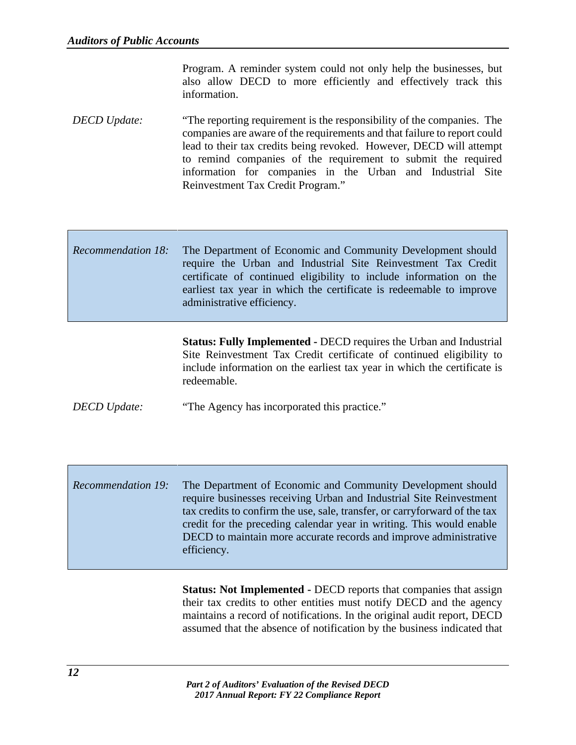Program. A reminder system could not only help the businesses, but also allow DECD to more efficiently and effectively track this information.

*DECD Update:* "The reporting requirement is the responsibility of the companies. The companies are aware of the requirements and that failure to report could lead to their tax credits being revoked. However, DECD will attempt to remind companies of the requirement to submit the required information for companies in the Urban and Industrial Site Reinvestment Tax Credit Program."

## *Recommendation 18:* The Department of Economic and Community Development should require the Urban and Industrial Site Reinvestment Tax Credit certificate of continued eligibility to include information on the earliest tax year in which the certificate is redeemable to improve administrative efficiency.

**Status: Fully Implemented -** DECD requires the Urban and Industrial Site Reinvestment Tax Credit certificate of continued eligibility to include information on the earliest tax year in which the certificate is redeemable.

*DECD Update:* "The Agency has incorporated this practice."

*Recommendation 19:* The Department of Economic and Community Development should require businesses receiving Urban and Industrial Site Reinvestment tax credits to confirm the use, sale, transfer, or carryforward of the tax credit for the preceding calendar year in writing. This would enable DECD to maintain more accurate records and improve administrative efficiency.

> **Status: Not Implemented -** DECD reports that companies that assign their tax credits to other entities must notify DECD and the agency maintains a record of notifications. In the original audit report, DECD assumed that the absence of notification by the business indicated that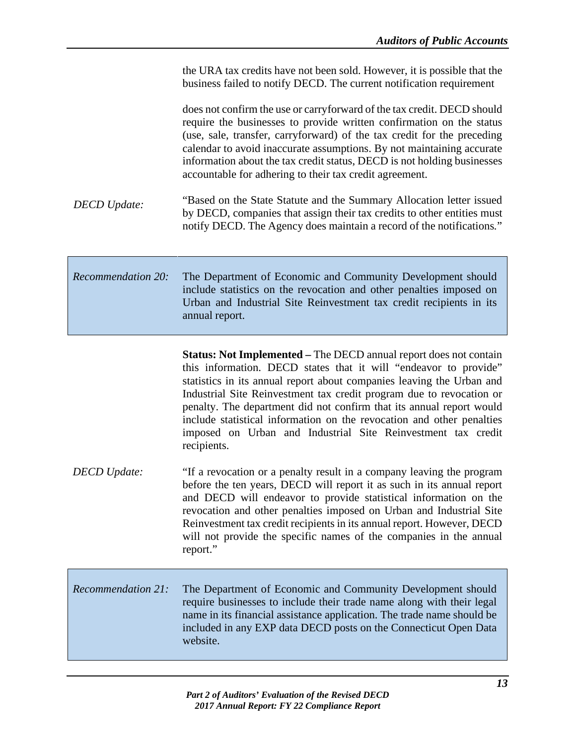|                           | the URA tax credits have not been sold. However, it is possible that the<br>business failed to notify DECD. The current notification requirement                                                                                                                                                                                                                                                                                                       |
|---------------------------|--------------------------------------------------------------------------------------------------------------------------------------------------------------------------------------------------------------------------------------------------------------------------------------------------------------------------------------------------------------------------------------------------------------------------------------------------------|
|                           | does not confirm the use or carryforward of the tax credit. DECD should<br>require the businesses to provide written confirmation on the status<br>(use, sale, transfer, carryforward) of the tax credit for the preceding<br>calendar to avoid inaccurate assumptions. By not maintaining accurate<br>information about the tax credit status, DECD is not holding businesses<br>accountable for adhering to their tax credit agreement.              |
| <b>DECD</b> Update:       | "Based on the State Statute and the Summary Allocation letter issued<br>by DECD, companies that assign their tax credits to other entities must<br>notify DECD. The Agency does maintain a record of the notifications."                                                                                                                                                                                                                               |
| <b>Recommendation 20:</b> | The Department of Economic and Community Development should<br>include statistics on the revocation and other penalties imposed on<br>Urban and Industrial Site Reinvestment tax credit recipients in its<br>annual report.                                                                                                                                                                                                                            |
|                           | Status: Not Implemented - The DECD annual report does not contain<br>this information. DECD states that it will "endeavor to provide"                                                                                                                                                                                                                                                                                                                  |
|                           | statistics in its annual report about companies leaving the Urban and<br>Industrial Site Reinvestment tax credit program due to revocation or<br>penalty. The department did not confirm that its annual report would<br>include statistical information on the revocation and other penalties<br>imposed on Urban and Industrial Site Reinvestment tax credit<br>recipients.                                                                          |
| <b>DECD</b> Update:       | "If a revocation or a penalty result in a company leaving the program<br>before the ten years, DECD will report it as such in its annual report<br>and DECD will endeavor to provide statistical information on the<br>revocation and other penalties imposed on Urban and Industrial Site<br>Reinvestment tax credit recipients in its annual report. However, DECD<br>will not provide the specific names of the companies in the annual<br>report." |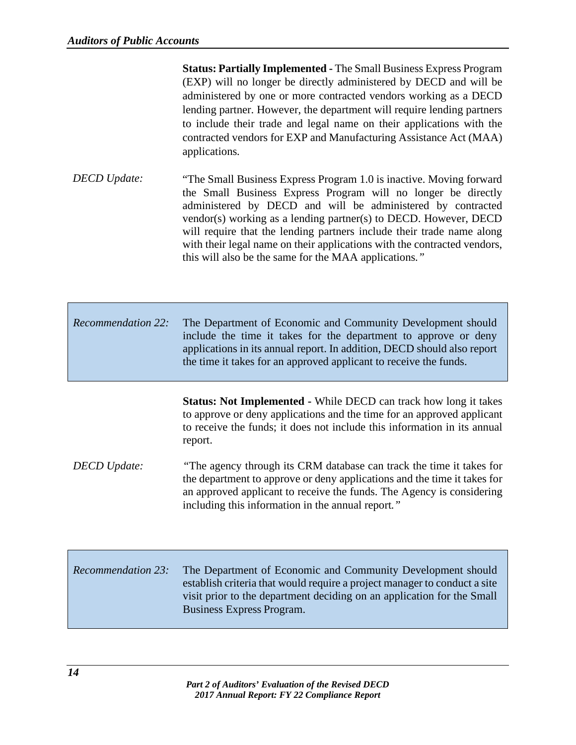**Status: Partially Implemented -** The Small Business Express Program (EXP) will no longer be directly administered by DECD and will be administered by one or more contracted vendors working as a DECD lending partner. However, the department will require lending partners to include their trade and legal name on their applications with the contracted vendors for EXP and Manufacturing Assistance Act (MAA) applications*.*

- *DECD Update:* "The Small Business Express Program 1.0 is inactive. Moving forward the Small Business Express Program will no longer be directly administered by DECD and will be administered by contracted vendor(s) working as a lending partner(s) to DECD. However, DECD will require that the lending partners include their trade name along with their legal name on their applications with the contracted vendors, this will also be the same for the MAA applications*."*
- *Recommendation 22:* The Department of Economic and Community Development should include the time it takes for the department to approve or deny applications in its annual report. In addition, DECD should also report the time it takes for an approved applicant to receive the funds.

**Status: Not Implemented -** While DECD can track how long it takes to approve or deny applications and the time for an approved applicant to receive the funds; it does not include this information in its annual report.

- *DECD Update: "The agency through its CRM database can track the time it takes for* the department to approve or deny applications and the time it takes for an approved applicant to receive the funds. The Agency is considering including this information in the annual report*."*
- *Recommendation 23:* The Department of Economic and Community Development should establish criteria that would require a project manager to conduct a site visit prior to the department deciding on an application for the Small Business Express Program.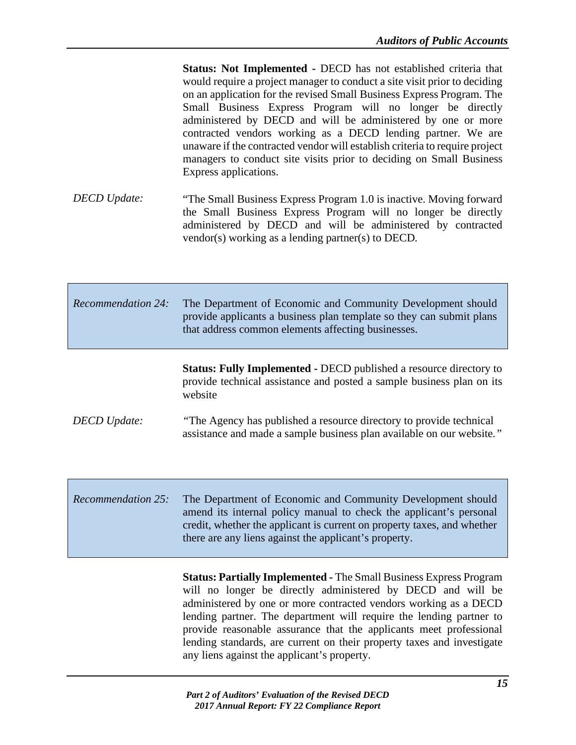**Status: Not Implemented -** DECD has not established criteria that would require a project manager to conduct a site visit prior to deciding on an application for the revised Small Business Express Program. The Small Business Express Program will no longer be directly administered by DECD and will be administered by one or more contracted vendors working as a DECD lending partner. We are unaware if the contracted vendor will establish criteria to require project managers to conduct site visits prior to deciding on Small Business Express applications.

*DECD Update:* "The Small Business Express Program 1.0 is inactive. Moving forward the Small Business Express Program will no longer be directly administered by DECD and will be administered by contracted vendor(s) working as a lending partner(s) to DECD*.* 

| <b>Recommendation 24:</b> | The Department of Economic and Community Development should<br>provide applicants a business plan template so they can submit plans<br>that address common elements affecting businesses. |
|---------------------------|-------------------------------------------------------------------------------------------------------------------------------------------------------------------------------------------|
|                           | <b>Status: Fully Implemented - DECD published a resource directory to</b><br>provide technical assistance and posted a sample business plan on its<br>website                             |

*DECD Update: "The Agency has published a resource directory to provide technical* assistance and made a sample business plan available on our website*."*

*Recommendation 25:* The Department of Economic and Community Development should amend its internal policy manual to check the applicant's personal credit, whether the applicant is current on property taxes, and whether there are any liens against the applicant's property.

> **Status: Partially Implemented -** The Small Business Express Program will no longer be directly administered by DECD and will be administered by one or more contracted vendors working as a DECD lending partner. The department will require the lending partner to provide reasonable assurance that the applicants meet professional lending standards, are current on their property taxes and investigate any liens against the applicant's property.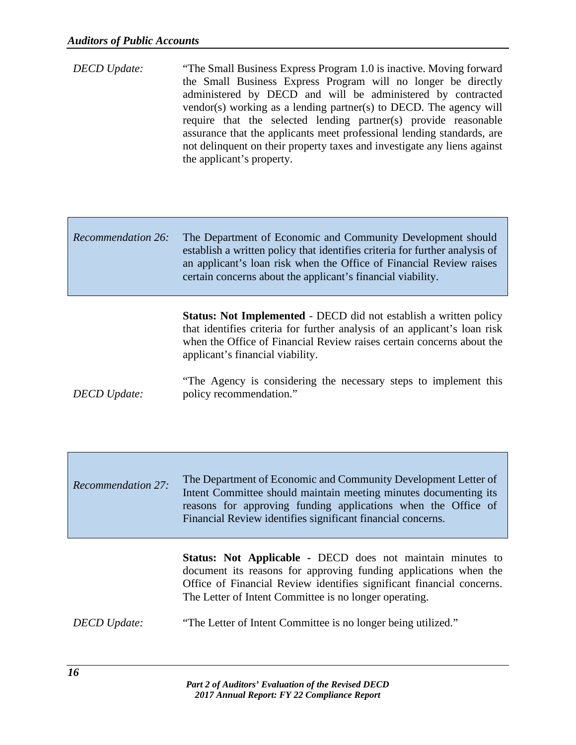- *DECD Update:* "The Small Business Express Program 1.0 is inactive. Moving forward the Small Business Express Program will no longer be directly administered by DECD and will be administered by contracted vendor(s) working as a lending partner(s) to DECD. The agency will require that the selected lending partner(s) provide reasonable assurance that the applicants meet professional lending standards, are not delinquent on their property taxes and investigate any liens against the applicant's property.
- *Recommendation 26:* The Department of Economic and Community Development should establish a written policy that identifies criteria for further analysis of an applicant's loan risk when the Office of Financial Review raises certain concerns about the applicant's financial viability.

**Status: Not Implemented** - DECD did not establish a written policy that identifies criteria for further analysis of an applicant's loan risk when the Office of Financial Review raises certain concerns about the applicant's financial viability.

- *DECD Update:* "The Agency is considering the necessary steps to implement this policy recommendation."
- *Recommendation 27:* The Department of Economic and Community Development Letter of Intent Committee should maintain meeting minutes documenting its reasons for approving funding applications when the Office of Financial Review identifies significant financial concerns.

**Status: Not Applicable -** DECD does not maintain minutes to document its reasons for approving funding applications when the Office of Financial Review identifies significant financial concerns. The Letter of Intent Committee is no longer operating.

*DECD Update:* "The Letter of Intent Committee is no longer being utilized."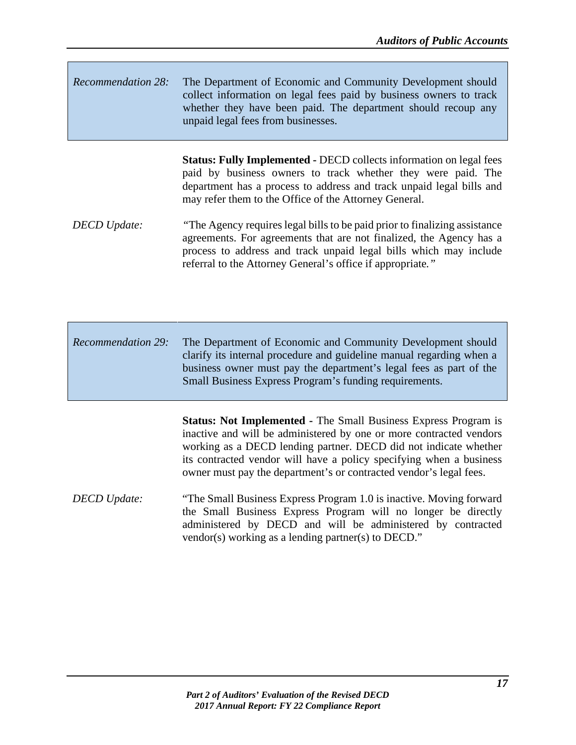| <b>Recommendation 28:</b> | The Department of Economic and Community Development should        |
|---------------------------|--------------------------------------------------------------------|
|                           | collect information on legal fees paid by business owners to track |
|                           | whether they have been paid. The department should recoup any      |
|                           | unpaid legal fees from businesses.                                 |

**Status: Fully Implemented -** DECD collects information on legal fees paid by business owners to track whether they were paid. The department has a process to address and track unpaid legal bills and may refer them to the Office of the Attorney General.

*DECD Update:* "The Agency requires legal bills to be paid prior to finalizing assistance agreements. For agreements that are not finalized, the Agency has a process to address and track unpaid legal bills which may include referral to the Attorney General's office if appropriate*."*

*Recommendation 29:* The Department of Economic and Community Development should clarify its internal procedure and guideline manual regarding when a business owner must pay the department's legal fees as part of the Small Business Express Program's funding requirements.

> **Status: Not Implemented -** The Small Business Express Program is inactive and will be administered by one or more contracted vendors working as a DECD lending partner. DECD did not indicate whether its contracted vendor will have a policy specifying when a business owner must pay the department's or contracted vendor's legal fees.

*DECD Update:* "The Small Business Express Program 1.0 is inactive. Moving forward the Small Business Express Program will no longer be directly administered by DECD and will be administered by contracted vendor(s) working as a lending partner(s) to DECD."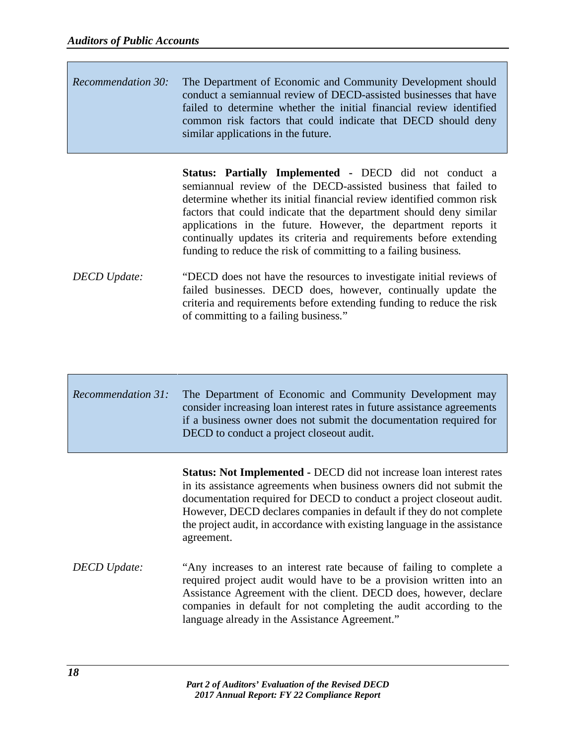| <i>Recommendation 30:</i> The Department of Economic and Community Development should |
|---------------------------------------------------------------------------------------|
| conduct a semiannual review of DECD-assisted businesses that have                     |
| failed to determine whether the initial financial review identified                   |
| common risk factors that could indicate that DECD should deny                         |
| similar applications in the future.                                                   |

**Status: Partially Implemented -** DECD did not conduct a semiannual review of the DECD-assisted business that failed to determine whether its initial financial review identified common risk factors that could indicate that the department should deny similar applications in the future. However, the department reports it continually updates its criteria and requirements before extending funding to reduce the risk of committing to a failing business*.*

*DECD Update:* "DECD does not have the resources to investigate initial reviews of failed businesses. DECD does, however, continually update the criteria and requirements before extending funding to reduce the risk of committing to a failing business*.*"

| <i>Recommendation 31:</i> The Department of Economic and Community Development may<br>consider increasing loan interest rates in future assistance agreements |
|---------------------------------------------------------------------------------------------------------------------------------------------------------------|
| if a business owner does not submit the documentation required for<br>DECD to conduct a project close out audit.                                              |

**Status: Not Implemented -** DECD did not increase loan interest rates in its assistance agreements when business owners did not submit the documentation required for DECD to conduct a project closeout audit. However, DECD declares companies in default if they do not complete the project audit, in accordance with existing language in the assistance agreement.

*DECD Update:* "Any increases to an interest rate because of failing to complete a required project audit would have to be a provision written into an Assistance Agreement with the client. DECD does, however, declare companies in default for not completing the audit according to the language already in the Assistance Agreement."